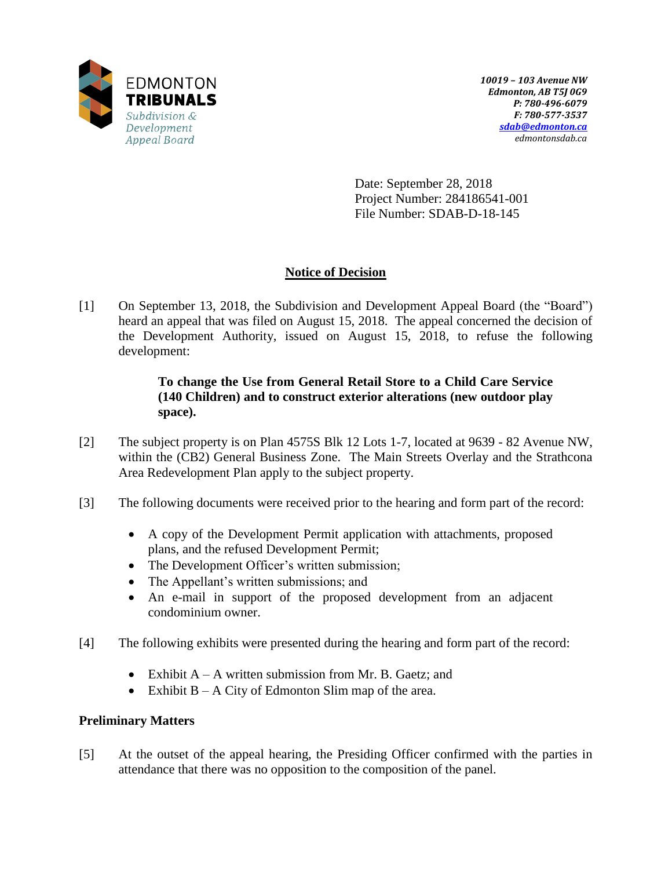

Date: September 28, 2018 Project Number: 284186541-001 File Number: SDAB-D-18-145

# **Notice of Decision**

[1] On September 13, 2018, the Subdivision and Development Appeal Board (the "Board") heard an appeal that was filed on August 15, 2018. The appeal concerned the decision of the Development Authority, issued on August 15, 2018, to refuse the following development:

# **To change the Use from General Retail Store to a Child Care Service (140 Children) and to construct exterior alterations (new outdoor play space).**

- [2] The subject property is on Plan 4575S Blk 12 Lots 1-7, located at 9639 82 Avenue NW, within the (CB2) General Business Zone. The Main Streets Overlay and the Strathcona Area Redevelopment Plan apply to the subject property.
- [3] The following documents were received prior to the hearing and form part of the record:
	- A copy of the Development Permit application with attachments, proposed plans, and the refused Development Permit;
	- The Development Officer's written submission;
	- The Appellant's written submissions; and
	- An e-mail in support of the proposed development from an adjacent condominium owner.
- [4] The following exhibits were presented during the hearing and form part of the record:
	- Exhibit  $A A$  written submission from Mr. B. Gaetz; and
	- Exhibit  $B A$  City of Edmonton Slim map of the area.

# **Preliminary Matters**

[5] At the outset of the appeal hearing, the Presiding Officer confirmed with the parties in attendance that there was no opposition to the composition of the panel.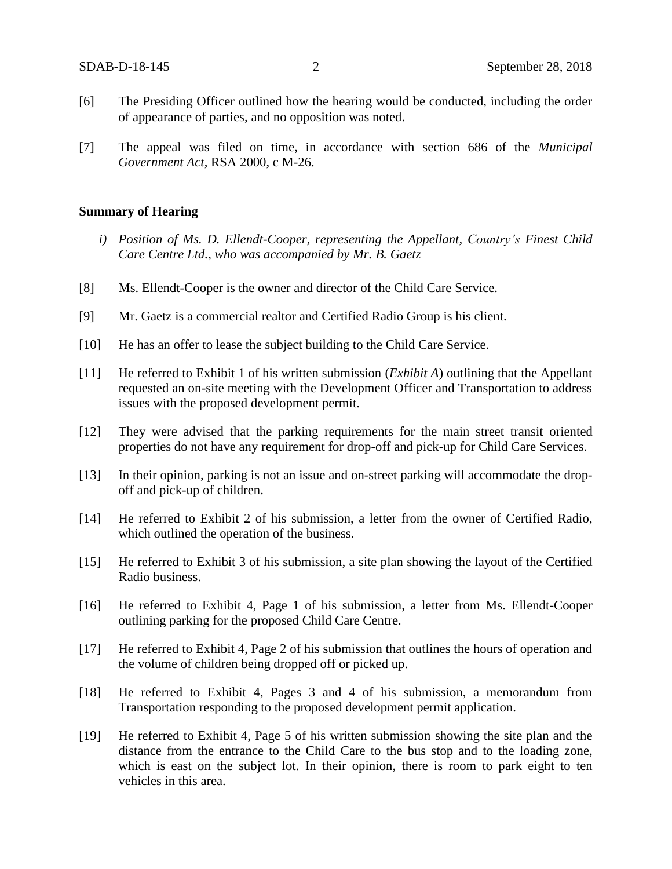- [6] The Presiding Officer outlined how the hearing would be conducted, including the order of appearance of parties, and no opposition was noted.
- [7] The appeal was filed on time, in accordance with section 686 of the *Municipal Government Act*, RSA 2000, c M-26.

### **Summary of Hearing**

- *i) Position of Ms. D. Ellendt-Cooper, representing the Appellant, Country's Finest Child Care Centre Ltd., who was accompanied by Mr. B. Gaetz*
- [8] Ms. Ellendt-Cooper is the owner and director of the Child Care Service.
- [9] Mr. Gaetz is a commercial realtor and Certified Radio Group is his client.
- [10] He has an offer to lease the subject building to the Child Care Service.
- [11] He referred to Exhibit 1 of his written submission (*Exhibit A*) outlining that the Appellant requested an on-site meeting with the Development Officer and Transportation to address issues with the proposed development permit.
- [12] They were advised that the parking requirements for the main street transit oriented properties do not have any requirement for drop-off and pick-up for Child Care Services.
- [13] In their opinion, parking is not an issue and on-street parking will accommodate the dropoff and pick-up of children.
- [14] He referred to Exhibit 2 of his submission, a letter from the owner of Certified Radio, which outlined the operation of the business.
- [15] He referred to Exhibit 3 of his submission, a site plan showing the layout of the Certified Radio business.
- [16] He referred to Exhibit 4, Page 1 of his submission, a letter from Ms. Ellendt-Cooper outlining parking for the proposed Child Care Centre.
- [17] He referred to Exhibit 4, Page 2 of his submission that outlines the hours of operation and the volume of children being dropped off or picked up.
- [18] He referred to Exhibit 4, Pages 3 and 4 of his submission, a memorandum from Transportation responding to the proposed development permit application.
- [19] He referred to Exhibit 4, Page 5 of his written submission showing the site plan and the distance from the entrance to the Child Care to the bus stop and to the loading zone, which is east on the subject lot. In their opinion, there is room to park eight to ten vehicles in this area.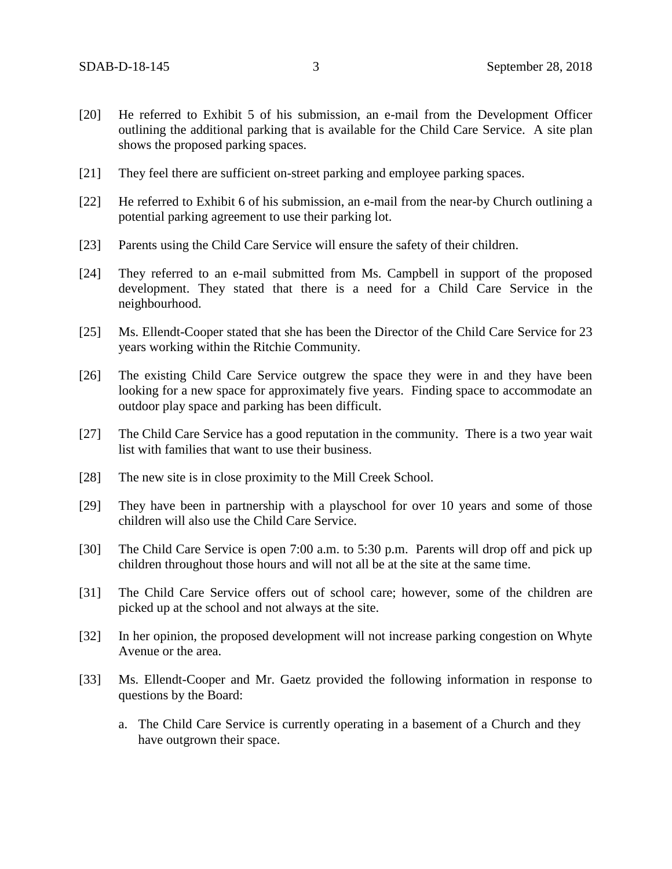- [20] He referred to Exhibit 5 of his submission, an e-mail from the Development Officer outlining the additional parking that is available for the Child Care Service. A site plan shows the proposed parking spaces.
- [21] They feel there are sufficient on-street parking and employee parking spaces.
- [22] He referred to Exhibit 6 of his submission, an e-mail from the near-by Church outlining a potential parking agreement to use their parking lot.
- [23] Parents using the Child Care Service will ensure the safety of their children.
- [24] They referred to an e-mail submitted from Ms. Campbell in support of the proposed development. They stated that there is a need for a Child Care Service in the neighbourhood.
- [25] Ms. Ellendt-Cooper stated that she has been the Director of the Child Care Service for 23 years working within the Ritchie Community.
- [26] The existing Child Care Service outgrew the space they were in and they have been looking for a new space for approximately five years. Finding space to accommodate an outdoor play space and parking has been difficult.
- [27] The Child Care Service has a good reputation in the community. There is a two year wait list with families that want to use their business.
- [28] The new site is in close proximity to the Mill Creek School.
- [29] They have been in partnership with a playschool for over 10 years and some of those children will also use the Child Care Service.
- [30] The Child Care Service is open 7:00 a.m. to 5:30 p.m. Parents will drop off and pick up children throughout those hours and will not all be at the site at the same time.
- [31] The Child Care Service offers out of school care; however, some of the children are picked up at the school and not always at the site.
- [32] In her opinion, the proposed development will not increase parking congestion on Whyte Avenue or the area.
- [33] Ms. Ellendt-Cooper and Mr. Gaetz provided the following information in response to questions by the Board:
	- a. The Child Care Service is currently operating in a basement of a Church and they have outgrown their space.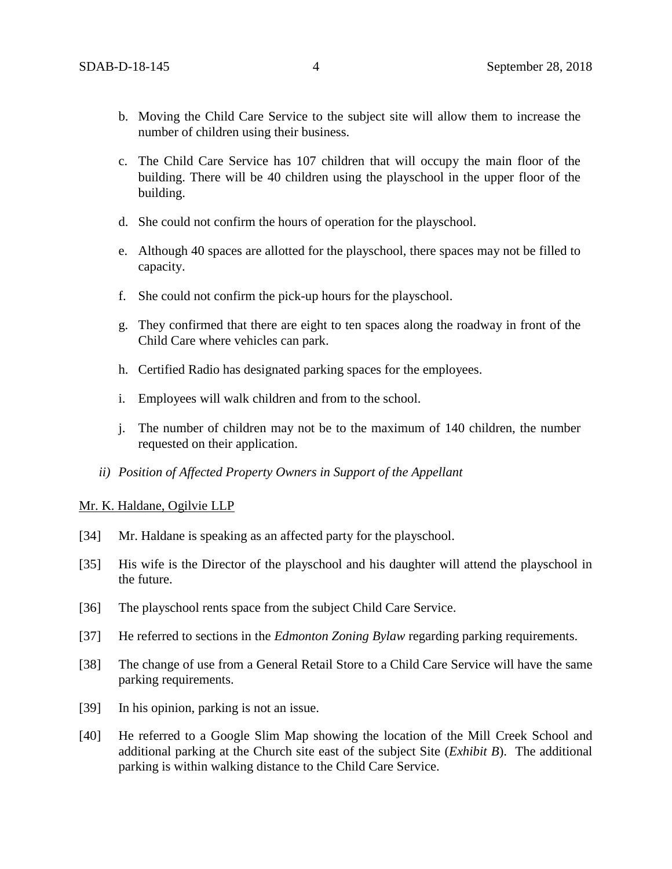- b. Moving the Child Care Service to the subject site will allow them to increase the number of children using their business.
- c. The Child Care Service has 107 children that will occupy the main floor of the building. There will be 40 children using the playschool in the upper floor of the building.
- d. She could not confirm the hours of operation for the playschool.
- e. Although 40 spaces are allotted for the playschool, there spaces may not be filled to capacity.
- f. She could not confirm the pick-up hours for the playschool.
- g. They confirmed that there are eight to ten spaces along the roadway in front of the Child Care where vehicles can park.
- h. Certified Radio has designated parking spaces for the employees.
- i. Employees will walk children and from to the school.
- j. The number of children may not be to the maximum of 140 children, the number requested on their application.
- *ii) Position of Affected Property Owners in Support of the Appellant*

## Mr. K. Haldane, Ogilvie LLP

- [34] Mr. Haldane is speaking as an affected party for the playschool.
- [35] His wife is the Director of the playschool and his daughter will attend the playschool in the future.
- [36] The playschool rents space from the subject Child Care Service.
- [37] He referred to sections in the *Edmonton Zoning Bylaw* regarding parking requirements.
- [38] The change of use from a General Retail Store to a Child Care Service will have the same parking requirements.
- [39] In his opinion, parking is not an issue.
- [40] He referred to a Google Slim Map showing the location of the Mill Creek School and additional parking at the Church site east of the subject Site (*Exhibit B*). The additional parking is within walking distance to the Child Care Service.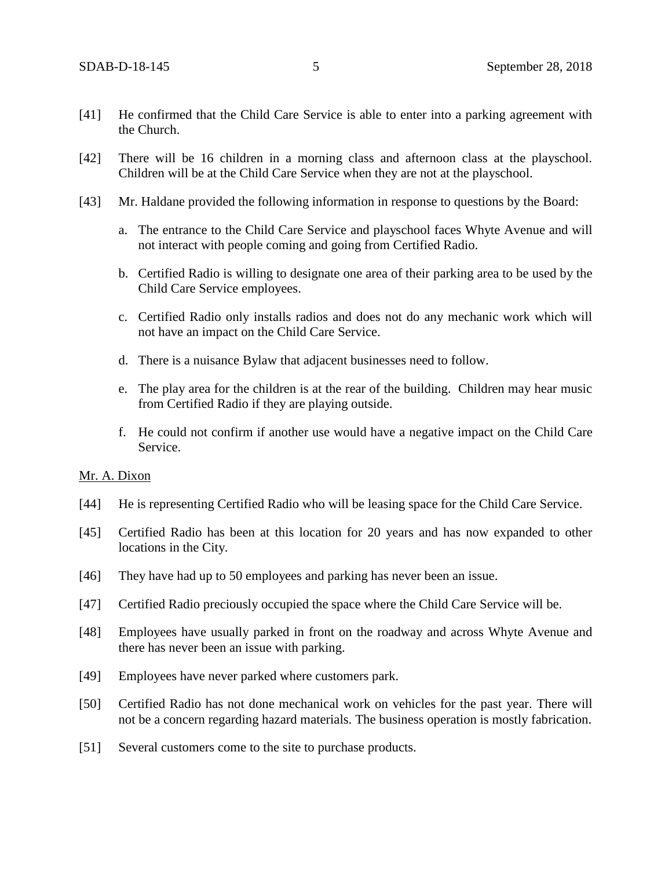- [41] He confirmed that the Child Care Service is able to enter into a parking agreement with the Church.
- [42] There will be 16 children in a morning class and afternoon class at the playschool. Children will be at the Child Care Service when they are not at the playschool.
- [43] Mr. Haldane provided the following information in response to questions by the Board:
	- a. The entrance to the Child Care Service and playschool faces Whyte Avenue and will not interact with people coming and going from Certified Radio.
	- b. Certified Radio is willing to designate one area of their parking area to be used by the Child Care Service employees.
	- c. Certified Radio only installs radios and does not do any mechanic work which will not have an impact on the Child Care Service.
	- d. There is a nuisance Bylaw that adjacent businesses need to follow.
	- e. The play area for the children is at the rear of the building. Children may hear music from Certified Radio if they are playing outside.
	- f. He could not confirm if another use would have a negative impact on the Child Care Service.

## Mr. A. Dixon

- [44] He is representing Certified Radio who will be leasing space for the Child Care Service.
- [45] Certified Radio has been at this location for 20 years and has now expanded to other locations in the City.
- [46] They have had up to 50 employees and parking has never been an issue.
- [47] Certified Radio preciously occupied the space where the Child Care Service will be.
- [48] Employees have usually parked in front on the roadway and across Whyte Avenue and there has never been an issue with parking.
- [49] Employees have never parked where customers park.
- [50] Certified Radio has not done mechanical work on vehicles for the past year. There will not be a concern regarding hazard materials. The business operation is mostly fabrication.
- [51] Several customers come to the site to purchase products.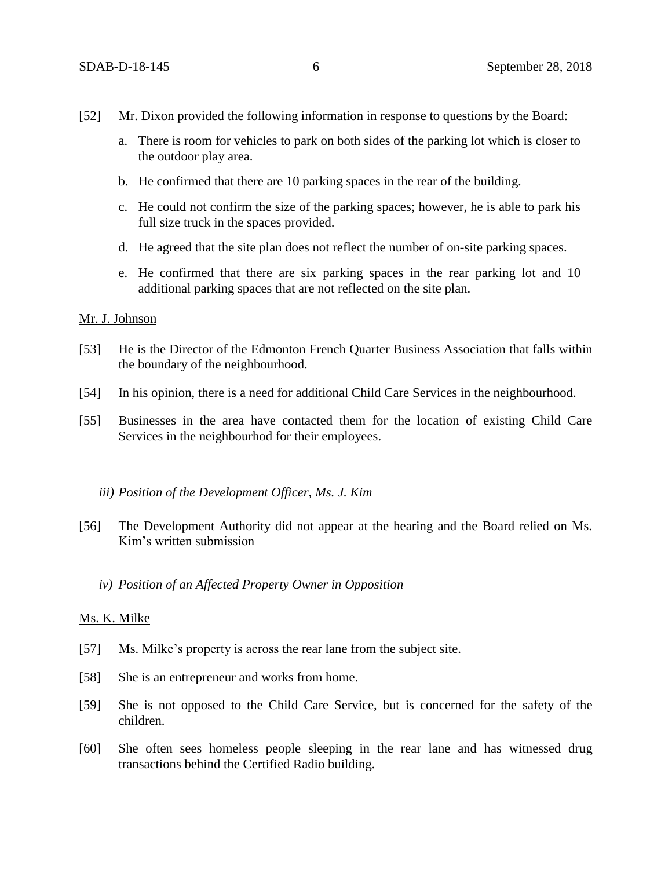- [52] Mr. Dixon provided the following information in response to questions by the Board:
	- a. There is room for vehicles to park on both sides of the parking lot which is closer to the outdoor play area.
	- b. He confirmed that there are 10 parking spaces in the rear of the building.
	- c. He could not confirm the size of the parking spaces; however, he is able to park his full size truck in the spaces provided.
	- d. He agreed that the site plan does not reflect the number of on-site parking spaces.
	- e. He confirmed that there are six parking spaces in the rear parking lot and 10 additional parking spaces that are not reflected on the site plan.

# Mr. J. Johnson

- [53] He is the Director of the Edmonton French Quarter Business Association that falls within the boundary of the neighbourhood.
- [54] In his opinion, there is a need for additional Child Care Services in the neighbourhood.
- [55] Businesses in the area have contacted them for the location of existing Child Care Services in the neighbourhod for their employees.

#### *iii) Position of the Development Officer, Ms. J. Kim*

- [56] The Development Authority did not appear at the hearing and the Board relied on Ms. Kim's written submission
	- *iv) Position of an Affected Property Owner in Opposition*

#### Ms. K. Milke

- [57] Ms. Milke's property is across the rear lane from the subject site.
- [58] She is an entrepreneur and works from home.
- [59] She is not opposed to the Child Care Service, but is concerned for the safety of the children.
- [60] She often sees homeless people sleeping in the rear lane and has witnessed drug transactions behind the Certified Radio building.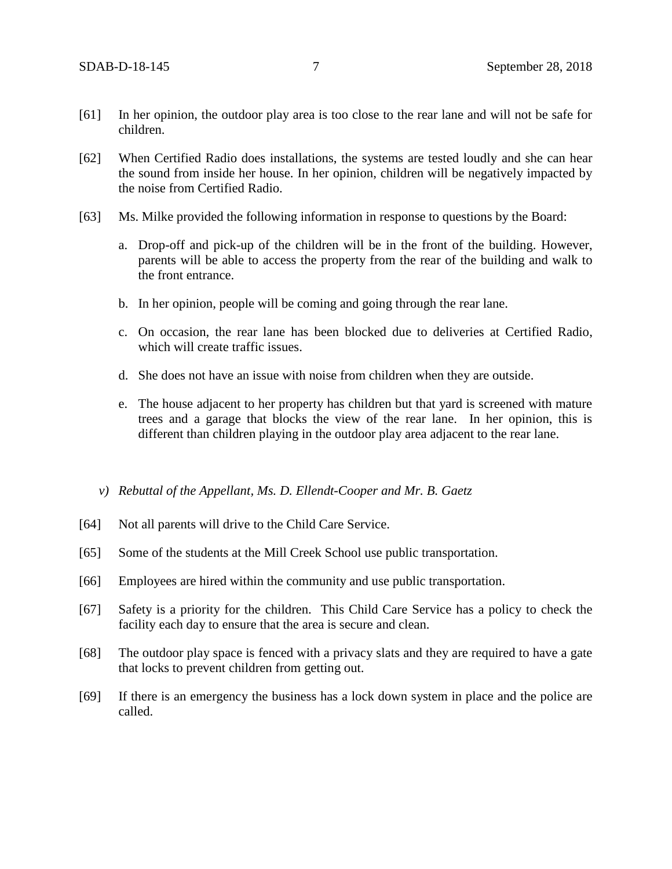- [61] In her opinion, the outdoor play area is too close to the rear lane and will not be safe for children.
- [62] When Certified Radio does installations, the systems are tested loudly and she can hear the sound from inside her house. In her opinion, children will be negatively impacted by the noise from Certified Radio.
- [63] Ms. Milke provided the following information in response to questions by the Board:
	- a. Drop-off and pick-up of the children will be in the front of the building. However, parents will be able to access the property from the rear of the building and walk to the front entrance.
	- b. In her opinion, people will be coming and going through the rear lane.
	- c. On occasion, the rear lane has been blocked due to deliveries at Certified Radio, which will create traffic issues.
	- d. She does not have an issue with noise from children when they are outside.
	- e. The house adjacent to her property has children but that yard is screened with mature trees and a garage that blocks the view of the rear lane. In her opinion, this is different than children playing in the outdoor play area adjacent to the rear lane.
	- *v) Rebuttal of the Appellant, Ms. D. Ellendt-Cooper and Mr. B. Gaetz*
- [64] Not all parents will drive to the Child Care Service.
- [65] Some of the students at the Mill Creek School use public transportation.
- [66] Employees are hired within the community and use public transportation.
- [67] Safety is a priority for the children. This Child Care Service has a policy to check the facility each day to ensure that the area is secure and clean.
- [68] The outdoor play space is fenced with a privacy slats and they are required to have a gate that locks to prevent children from getting out.
- [69] If there is an emergency the business has a lock down system in place and the police are called.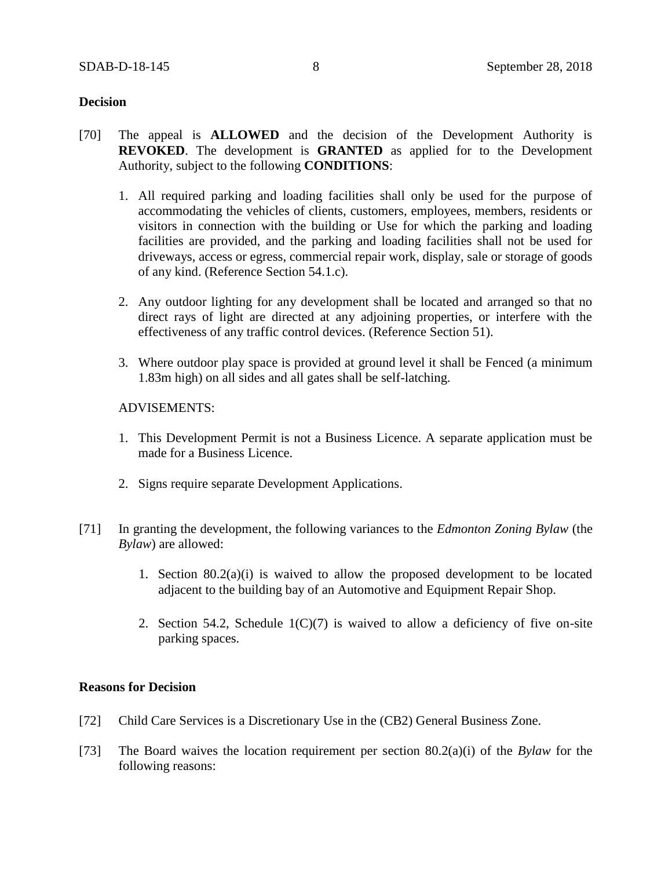# **Decision**

- [70] The appeal is **ALLOWED** and the decision of the Development Authority is **REVOKED**. The development is **GRANTED** as applied for to the Development Authority, subject to the following **CONDITIONS**:
	- 1. All required parking and loading facilities shall only be used for the purpose of accommodating the vehicles of clients, customers, employees, members, residents or visitors in connection with the building or Use for which the parking and loading facilities are provided, and the parking and loading facilities shall not be used for driveways, access or egress, commercial repair work, display, sale or storage of goods of any kind. (Reference Section 54.1.c).
	- 2. Any outdoor lighting for any development shall be located and arranged so that no direct rays of light are directed at any adjoining properties, or interfere with the effectiveness of any traffic control devices. (Reference Section 51).
	- 3. Where outdoor play space is provided at ground level it shall be Fenced (a minimum 1.83m high) on all sides and all gates shall be self-latching.

# ADVISEMENTS:

- 1. This Development Permit is not a Business Licence. A separate application must be made for a Business Licence.
- 2. Signs require separate Development Applications.
- [71] In granting the development, the following variances to the *Edmonton Zoning Bylaw* (the *Bylaw*) are allowed:
	- 1. Section  $80.2(a)(i)$  is waived to allow the proposed development to be located adjacent to the building bay of an Automotive and Equipment Repair Shop.
	- 2. Section 54.2, Schedule  $1(C)(7)$  is waived to allow a deficiency of five on-site parking spaces.

## **Reasons for Decision**

- [72] Child Care Services is a Discretionary Use in the (CB2) General Business Zone.
- [73] The Board waives the location requirement per section 80.2(a)(i) of the *Bylaw* for the following reasons: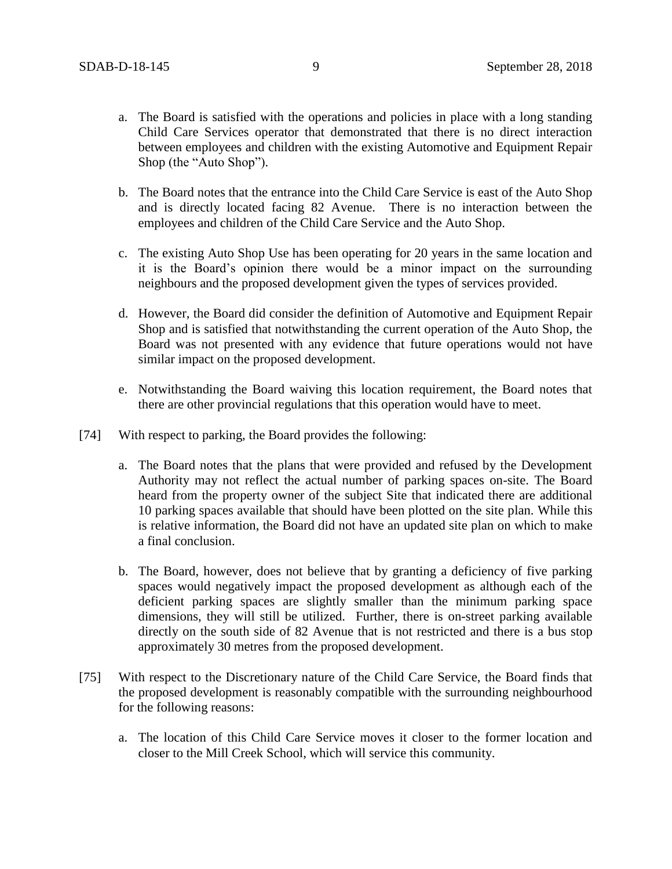- a. The Board is satisfied with the operations and policies in place with a long standing Child Care Services operator that demonstrated that there is no direct interaction between employees and children with the existing Automotive and Equipment Repair Shop (the "Auto Shop").
- b. The Board notes that the entrance into the Child Care Service is east of the Auto Shop and is directly located facing 82 Avenue. There is no interaction between the employees and children of the Child Care Service and the Auto Shop.
- c. The existing Auto Shop Use has been operating for 20 years in the same location and it is the Board's opinion there would be a minor impact on the surrounding neighbours and the proposed development given the types of services provided.
- d. However, the Board did consider the definition of Automotive and Equipment Repair Shop and is satisfied that notwithstanding the current operation of the Auto Shop, the Board was not presented with any evidence that future operations would not have similar impact on the proposed development.
- e. Notwithstanding the Board waiving this location requirement, the Board notes that there are other provincial regulations that this operation would have to meet.
- [74] With respect to parking, the Board provides the following:
	- a. The Board notes that the plans that were provided and refused by the Development Authority may not reflect the actual number of parking spaces on-site. The Board heard from the property owner of the subject Site that indicated there are additional 10 parking spaces available that should have been plotted on the site plan. While this is relative information, the Board did not have an updated site plan on which to make a final conclusion.
	- b. The Board, however, does not believe that by granting a deficiency of five parking spaces would negatively impact the proposed development as although each of the deficient parking spaces are slightly smaller than the minimum parking space dimensions, they will still be utilized. Further, there is on-street parking available directly on the south side of 82 Avenue that is not restricted and there is a bus stop approximately 30 metres from the proposed development.
- [75] With respect to the Discretionary nature of the Child Care Service, the Board finds that the proposed development is reasonably compatible with the surrounding neighbourhood for the following reasons:
	- a. The location of this Child Care Service moves it closer to the former location and closer to the Mill Creek School, which will service this community.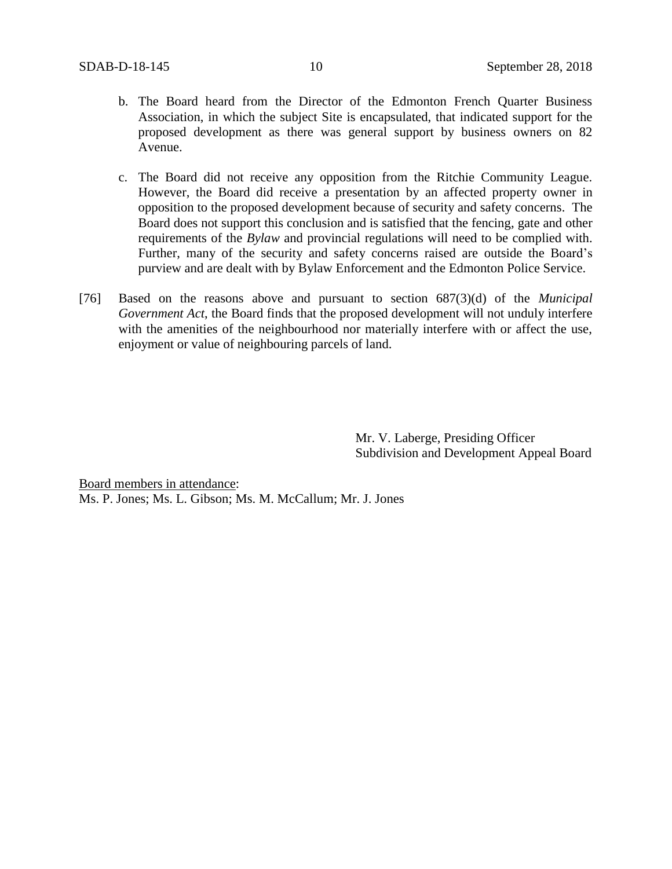- b. The Board heard from the Director of the Edmonton French Quarter Business Association, in which the subject Site is encapsulated, that indicated support for the proposed development as there was general support by business owners on 82 Avenue.
- c. The Board did not receive any opposition from the Ritchie Community League. However, the Board did receive a presentation by an affected property owner in opposition to the proposed development because of security and safety concerns. The Board does not support this conclusion and is satisfied that the fencing, gate and other requirements of the *Bylaw* and provincial regulations will need to be complied with. Further, many of the security and safety concerns raised are outside the Board's purview and are dealt with by Bylaw Enforcement and the Edmonton Police Service.
- [76] Based on the reasons above and pursuant to section 687(3)(d) of the *Municipal Government Act*, the Board finds that the proposed development will not unduly interfere with the amenities of the neighbourhood nor materially interfere with or affect the use, enjoyment or value of neighbouring parcels of land.

Mr. V. Laberge, Presiding Officer Subdivision and Development Appeal Board

Board members in attendance: Ms. P. Jones; Ms. L. Gibson; Ms. M. McCallum; Mr. J. Jones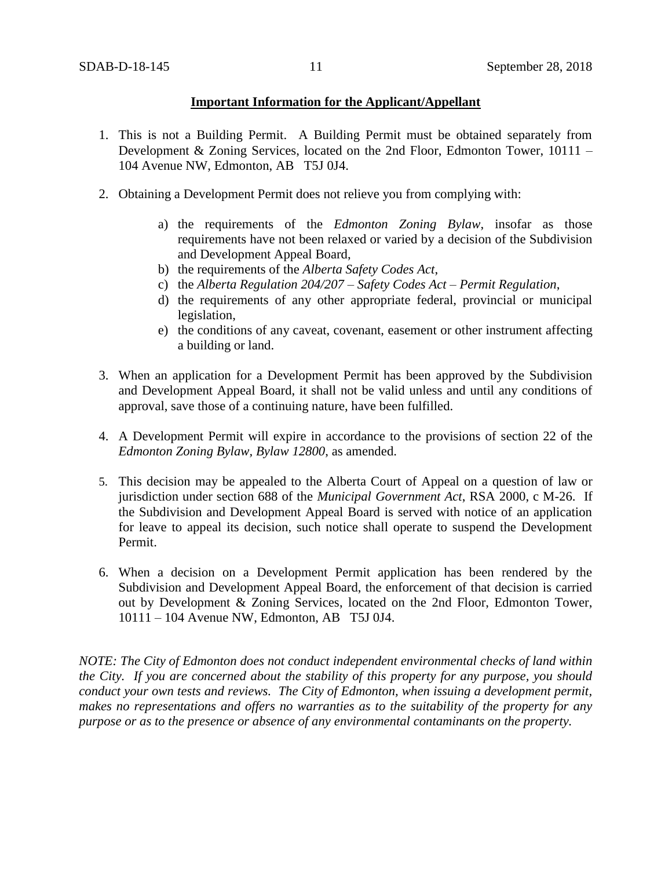# **Important Information for the Applicant/Appellant**

- 1. This is not a Building Permit. A Building Permit must be obtained separately from Development & Zoning Services, located on the 2nd Floor, Edmonton Tower, 10111 – 104 Avenue NW, Edmonton, AB T5J 0J4.
- 2. Obtaining a Development Permit does not relieve you from complying with:
	- a) the requirements of the *Edmonton Zoning Bylaw*, insofar as those requirements have not been relaxed or varied by a decision of the Subdivision and Development Appeal Board,
	- b) the requirements of the *Alberta Safety Codes Act*,
	- c) the *Alberta Regulation 204/207 – Safety Codes Act – Permit Regulation*,
	- d) the requirements of any other appropriate federal, provincial or municipal legislation,
	- e) the conditions of any caveat, covenant, easement or other instrument affecting a building or land.
- 3. When an application for a Development Permit has been approved by the Subdivision and Development Appeal Board, it shall not be valid unless and until any conditions of approval, save those of a continuing nature, have been fulfilled.
- 4. A Development Permit will expire in accordance to the provisions of section 22 of the *Edmonton Zoning Bylaw, Bylaw 12800*, as amended.
- 5. This decision may be appealed to the Alberta Court of Appeal on a question of law or jurisdiction under section 688 of the *Municipal Government Act*, RSA 2000, c M-26. If the Subdivision and Development Appeal Board is served with notice of an application for leave to appeal its decision, such notice shall operate to suspend the Development Permit.
- 6. When a decision on a Development Permit application has been rendered by the Subdivision and Development Appeal Board, the enforcement of that decision is carried out by Development & Zoning Services, located on the 2nd Floor, Edmonton Tower, 10111 – 104 Avenue NW, Edmonton, AB T5J 0J4.

*NOTE: The City of Edmonton does not conduct independent environmental checks of land within the City. If you are concerned about the stability of this property for any purpose, you should conduct your own tests and reviews. The City of Edmonton, when issuing a development permit, makes no representations and offers no warranties as to the suitability of the property for any purpose or as to the presence or absence of any environmental contaminants on the property.*